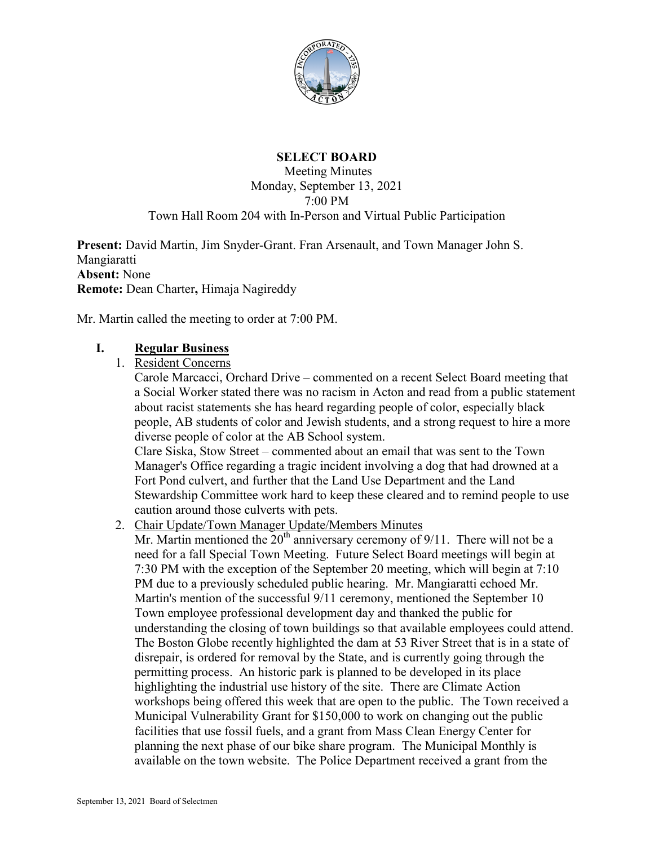

## **SELECT BOARD**

Meeting Minutes Monday, September 13, 2021 7:00 PM Town Hall Room 204 with In-Person and Virtual Public Participation

**Present:** David Martin, Jim Snyder-Grant. Fran Arsenault, and Town Manager John S. Mangiaratti **Absent:** None **Remote:** Dean Charter**,** Himaja Nagireddy

Mr. Martin called the meeting to order at 7:00 PM.

### **I. Regular Business**

1. Resident Concerns

Carole Marcacci, Orchard Drive – commented on a recent Select Board meeting that a Social Worker stated there was no racism in Acton and read from a public statement about racist statements she has heard regarding people of color, especially black people, AB students of color and Jewish students, and a strong request to hire a more diverse people of color at the AB School system.

Clare Siska, Stow Street – commented about an email that was sent to the Town Manager's Office regarding a tragic incident involving a dog that had drowned at a Fort Pond culvert, and further that the Land Use Department and the Land Stewardship Committee work hard to keep these cleared and to remind people to use caution around those culverts with pets.

2. Chair Update/Town Manager Update/Members Minutes

Mr. Martin mentioned the  $20<sup>th</sup>$  anniversary ceremony of 9/11. There will not be a need for a fall Special Town Meeting. Future Select Board meetings will begin at 7:30 PM with the exception of the September 20 meeting, which will begin at 7:10 PM due to a previously scheduled public hearing. Mr. Mangiaratti echoed Mr. Martin's mention of the successful 9/11 ceremony, mentioned the September 10 Town employee professional development day and thanked the public for understanding the closing of town buildings so that available employees could attend. The Boston Globe recently highlighted the dam at 53 River Street that is in a state of disrepair, is ordered for removal by the State, and is currently going through the permitting process. An historic park is planned to be developed in its place highlighting the industrial use history of the site. There are Climate Action workshops being offered this week that are open to the public. The Town received a Municipal Vulnerability Grant for \$150,000 to work on changing out the public facilities that use fossil fuels, and a grant from Mass Clean Energy Center for planning the next phase of our bike share program. The Municipal Monthly is available on the town website. The Police Department received a grant from the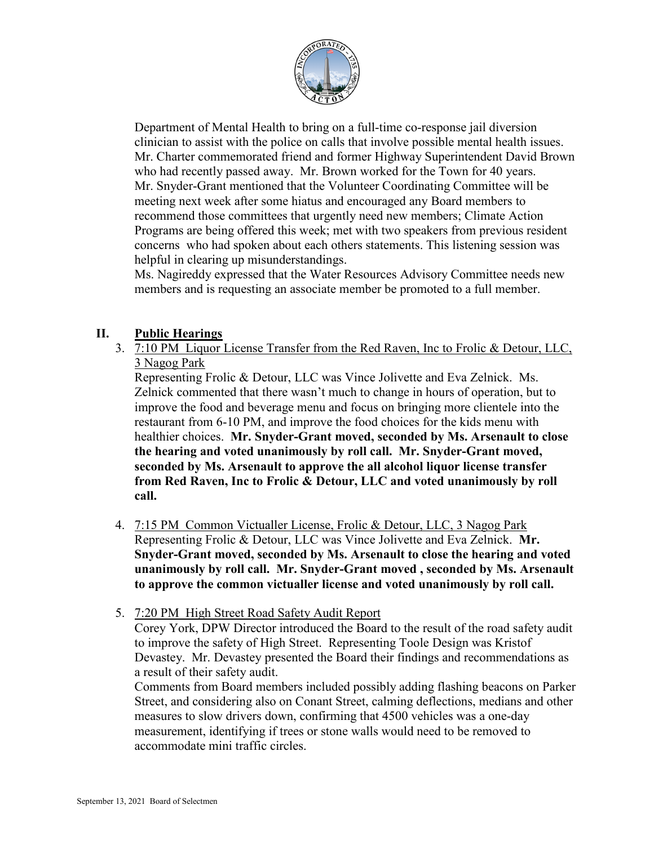

Department of Mental Health to bring on a full-time co-response jail diversion clinician to assist with the police on calls that involve possible mental health issues. Mr. Charter commemorated friend and former Highway Superintendent David Brown who had recently passed away. Mr. Brown worked for the Town for 40 years. Mr. Snyder-Grant mentioned that the Volunteer Coordinating Committee will be meeting next week after some hiatus and encouraged any Board members to recommend those committees that urgently need new members; Climate Action Programs are being offered this week; met with two speakers from previous resident concerns who had spoken about each others statements. This listening session was helpful in clearing up misunderstandings.

Ms. Nagireddy expressed that the Water Resources Advisory Committee needs new members and is requesting an associate member be promoted to a full member.

# **II. Public Hearings**

3. 7:10 PM Liquor License Transfer from the Red Raven, Inc to Frolic & Detour, LLC, 3 Nagog Park

Representing Frolic & Detour, LLC was Vince Jolivette and Eva Zelnick. Ms. Zelnick commented that there wasn't much to change in hours of operation, but to improve the food and beverage menu and focus on bringing more clientele into the restaurant from 6-10 PM, and improve the food choices for the kids menu with healthier choices. **Mr. Snyder-Grant moved, seconded by Ms. Arsenault to close the hearing and voted unanimously by roll call. Mr. Snyder-Grant moved, seconded by Ms. Arsenault to approve the all alcohol liquor license transfer from Red Raven, Inc to Frolic & Detour, LLC and voted unanimously by roll call.**

- 4. 7:15 PM Common Victualler License, Frolic & Detour, LLC, 3 Nagog Park Representing Frolic & Detour, LLC was Vince Jolivette and Eva Zelnick. **Mr. Snyder-Grant moved, seconded by Ms. Arsenault to close the hearing and voted unanimously by roll call. Mr. Snyder-Grant moved , seconded by Ms. Arsenault to approve the common victualler license and voted unanimously by roll call.**
- 5. 7:20 PM High Street Road Safety Audit Report

Corey York, DPW Director introduced the Board to the result of the road safety audit to improve the safety of High Street. Representing Toole Design was Kristof Devastey. Mr. Devastey presented the Board their findings and recommendations as a result of their safety audit.

Comments from Board members included possibly adding flashing beacons on Parker Street, and considering also on Conant Street, calming deflections, medians and other measures to slow drivers down, confirming that 4500 vehicles was a one-day measurement, identifying if trees or stone walls would need to be removed to accommodate mini traffic circles.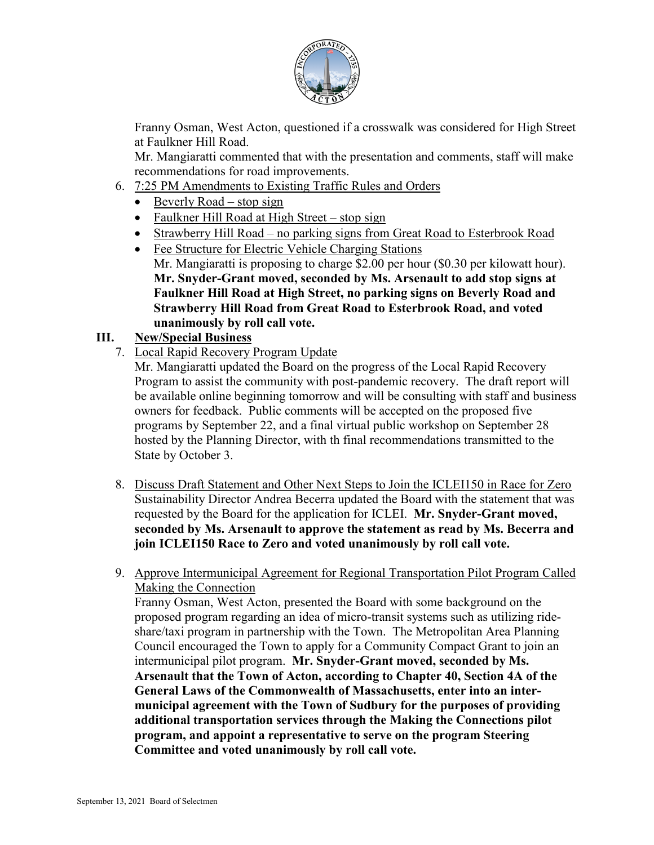

Franny Osman, West Acton, questioned if a crosswalk was considered for High Street at Faulkner Hill Road.

Mr. Mangiaratti commented that with the presentation and comments, staff will make recommendations for road improvements.

- 6. 7:25 PM Amendments to Existing Traffic Rules and Orders
	- Beverly Road stop sign
	- Faulkner Hill Road at High Street stop sign
	- Strawberry Hill Road no parking signs from Great Road to Esterbrook Road
	- Fee Structure for Electric Vehicle Charging Stations Mr. Mangiaratti is proposing to charge \$2.00 per hour (\$0.30 per kilowatt hour). **Mr. Snyder-Grant moved, seconded by Ms. Arsenault to add stop signs at Faulkner Hill Road at High Street, no parking signs on Beverly Road and Strawberry Hill Road from Great Road to Esterbrook Road, and voted unanimously by roll call vote.**

### **III. New/Special Business**

7. Local Rapid Recovery Program Update

Mr. Mangiaratti updated the Board on the progress of the Local Rapid Recovery Program to assist the community with post-pandemic recovery. The draft report will be available online beginning tomorrow and will be consulting with staff and business owners for feedback. Public comments will be accepted on the proposed five programs by September 22, and a final virtual public workshop on September 28 hosted by the Planning Director, with th final recommendations transmitted to the State by October 3.

- 8. Discuss Draft Statement and Other Next Steps to Join the ICLEI150 in Race for Zero Sustainability Director Andrea Becerra updated the Board with the statement that was requested by the Board for the application for ICLEI. **Mr. Snyder-Grant moved, seconded by Ms. Arsenault to approve the statement as read by Ms. Becerra and join ICLEI150 Race to Zero and voted unanimously by roll call vote.**
- 9. Approve Intermunicipal Agreement for Regional Transportation Pilot Program Called Making the Connection

Franny Osman, West Acton, presented the Board with some background on the proposed program regarding an idea of micro-transit systems such as utilizing rideshare/taxi program in partnership with the Town. The Metropolitan Area Planning Council encouraged the Town to apply for a Community Compact Grant to join an intermunicipal pilot program. **Mr. Snyder-Grant moved, seconded by Ms. Arsenault that the Town of Acton, according to Chapter 40, Section 4A of the General Laws of the Commonwealth of Massachusetts, enter into an intermunicipal agreement with the Town of Sudbury for the purposes of providing additional transportation services through the Making the Connections pilot program, and appoint a representative to serve on the program Steering Committee and voted unanimously by roll call vote.**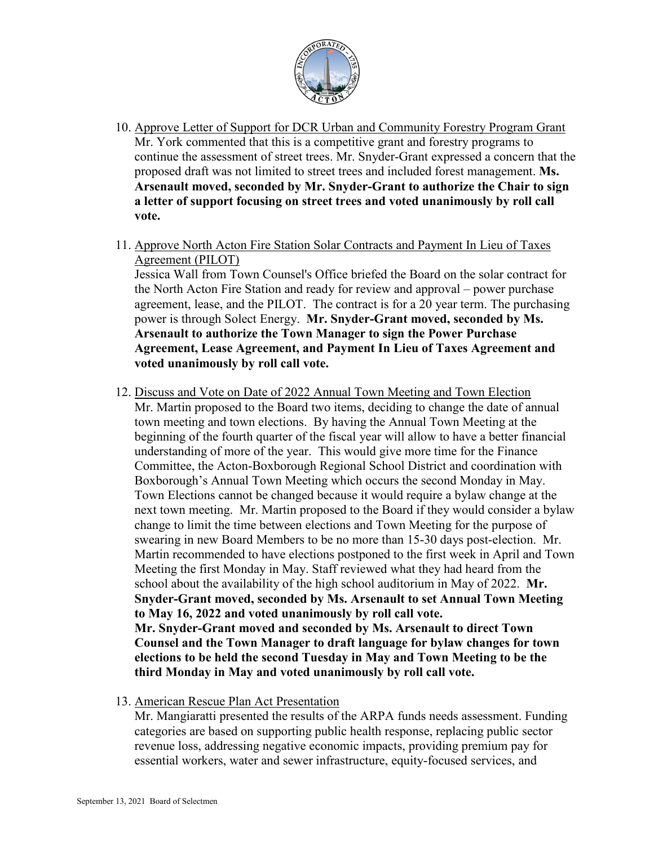

- 10. Approve Letter of Support for DCR Urban and Community Forestry Program Grant Mr. York commented that this is a competitive grant and forestry programs to continue the assessment of street trees. Mr. Snyder-Grant expressed a concern that the proposed draft was not limited to street trees and included forest management. **Ms. Arsenault moved, seconded by Mr. Snyder-Grant to authorize the Chair to sign a letter of support focusing on street trees and voted unanimously by roll call vote.**
- 11. Approve North Acton Fire Station Solar Contracts and Payment In Lieu of Taxes Agreement (PILOT)

Jessica Wall from Town Counsel's Office briefed the Board on the solar contract for the North Acton Fire Station and ready for review and approval – power purchase agreement, lease, and the PILOT. The contract is for a 20 year term. The purchasing power is through Solect Energy. **Mr. Snyder-Grant moved, seconded by Ms. Arsenault to authorize the Town Manager to sign the Power Purchase Agreement, Lease Agreement, and Payment In Lieu of Taxes Agreement and voted unanimously by roll call vote.**

- 12. Discuss and Vote on Date of 2022 Annual Town Meeting and Town Election Mr. Martin proposed to the Board two items, deciding to change the date of annual town meeting and town elections. By having the Annual Town Meeting at the beginning of the fourth quarter of the fiscal year will allow to have a better financial understanding of more of the year. This would give more time for the Finance Committee, the Acton-Boxborough Regional School District and coordination with Boxborough's Annual Town Meeting which occurs the second Monday in May. Town Elections cannot be changed because it would require a bylaw change at the next town meeting. Mr. Martin proposed to the Board if they would consider a bylaw change to limit the time between elections and Town Meeting for the purpose of swearing in new Board Members to be no more than 15-30 days post-election. Mr. Martin recommended to have elections postponed to the first week in April and Town Meeting the first Monday in May. Staff reviewed what they had heard from the school about the availability of the high school auditorium in May of 2022. **Mr. Snyder-Grant moved, seconded by Ms. Arsenault to set Annual Town Meeting to May 16, 2022 and voted unanimously by roll call vote. Mr. Snyder-Grant moved and seconded by Ms. Arsenault to direct Town Counsel and the Town Manager to draft language for bylaw changes for town elections to be held the second Tuesday in May and Town Meeting to be the third Monday in May and voted unanimously by roll call vote.**
- 13. American Rescue Plan Act Presentation

Mr. Mangiaratti presented the results of the ARPA funds needs assessment. Funding categories are based on supporting public health response, replacing public sector revenue loss, addressing negative economic impacts, providing premium pay for essential workers, water and sewer infrastructure, equity-focused services, and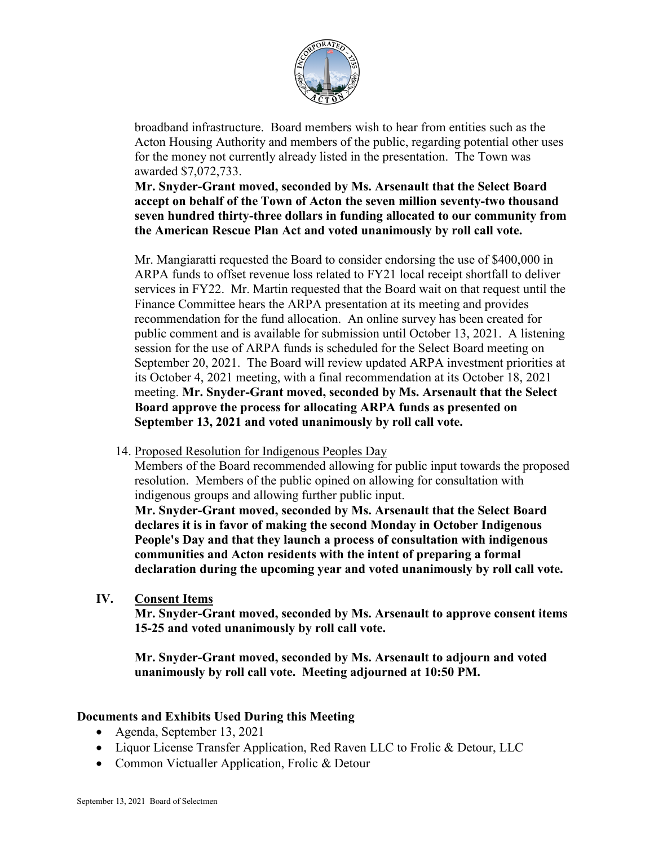

broadband infrastructure. Board members wish to hear from entities such as the Acton Housing Authority and members of the public, regarding potential other uses for the money not currently already listed in the presentation. The Town was awarded \$7,072,733.

**Mr. Snyder-Grant moved, seconded by Ms. Arsenault that the Select Board accept on behalf of the Town of Acton the seven million seventy-two thousand seven hundred thirty-three dollars in funding allocated to our community from the American Rescue Plan Act and voted unanimously by roll call vote.**

Mr. Mangiaratti requested the Board to consider endorsing the use of \$400,000 in ARPA funds to offset revenue loss related to FY21 local receipt shortfall to deliver services in FY22. Mr. Martin requested that the Board wait on that request until the Finance Committee hears the ARPA presentation at its meeting and provides recommendation for the fund allocation. An online survey has been created for public comment and is available for submission until October 13, 2021. A listening session for the use of ARPA funds is scheduled for the Select Board meeting on September 20, 2021. The Board will review updated ARPA investment priorities at its October 4, 2021 meeting, with a final recommendation at its October 18, 2021 meeting. **Mr. Snyder-Grant moved, seconded by Ms. Arsenault that the Select Board approve the process for allocating ARPA funds as presented on September 13, 2021 and voted unanimously by roll call vote.**

14. Proposed Resolution for Indigenous Peoples Day

Members of the Board recommended allowing for public input towards the proposed resolution. Members of the public opined on allowing for consultation with indigenous groups and allowing further public input.

**Mr. Snyder-Grant moved, seconded by Ms. Arsenault that the Select Board declares it is in favor of making the second Monday in October Indigenous People's Day and that they launch a process of consultation with indigenous communities and Acton residents with the intent of preparing a formal declaration during the upcoming year and voted unanimously by roll call vote.**

**IV. Consent Items** 

**Mr. Snyder-Grant moved, seconded by Ms. Arsenault to approve consent items 15-25 and voted unanimously by roll call vote.**

**Mr. Snyder-Grant moved, seconded by Ms. Arsenault to adjourn and voted unanimously by roll call vote. Meeting adjourned at 10:50 PM.**

### **Documents and Exhibits Used During this Meeting**

- Agenda, September 13, 2021
- Liquor License Transfer Application, Red Raven LLC to Frolic & Detour, LLC
- Common Victualler Application, Frolic & Detour